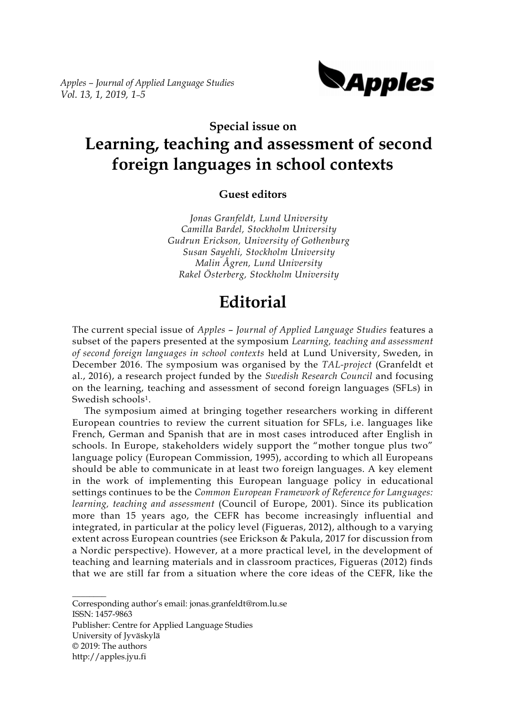*Apples – Journal of Applied Language Studies Vol. 13, 1, 2019, 1–5*



# **Special issue on Learning, teaching and assessment of second foreign languages in school contexts**

## **Guest editors**

*Jonas Granfeldt, Lund University Camilla Bardel, Stockholm University Gudrun Erickson, University of Gothenburg Susan Sayehli, Stockholm University Malin Ågren, Lund University Rakel Österberg, Stockholm University*

# **Editorial**

The current special issue of *Apples* – *Journal of Applied Language Studies* features a subset of the papers presented at the symposium *Learning, teaching and assessment of second foreign languages in school contexts* held at Lund University, Sweden, in December 2016. The symposium was organised by the *TAL-project* (Granfeldt et al., 2016), a research project funded by the *Swedish Research Council* and focusing on the learning, teaching and assessment of second foreign languages (SFLs) in Swedish schools1.

The symposium aimed at bringing together researchers working in different European countries to review the current situation for SFLs, i.e. languages like French, German and Spanish that are in most cases introduced after English in schools. In Europe, stakeholders widely support the "mother tongue plus two" language policy (European Commission, 1995), according to which all Europeans should be able to communicate in at least two foreign languages. A key element in the work of implementing this European language policy in educational settings continues to be the *Common European Framework of Reference for Languages: learning, teaching and assessment* (Council of Europe, 2001). Since its publication more than 15 years ago, the CEFR has become increasingly influential and integrated, in particular at the policy level (Figueras, 2012), although to a varying extent across European countries (see Erickson & Pakula, 2017 for discussion from a Nordic perspective). However, at a more practical level, in the development of teaching and learning materials and in classroom practices, Figueras (2012) finds that we are still far from a situation where the core ideas of the CEFR, like the

 $\overline{\phantom{a}}$ Corresponding author's email: jonas.granfeldt@rom.lu.se ISSN: 1457-9863 Publisher: Centre for Applied Language Studies University of Jyväskylä © 2019: The authors http://apples.jyu.fi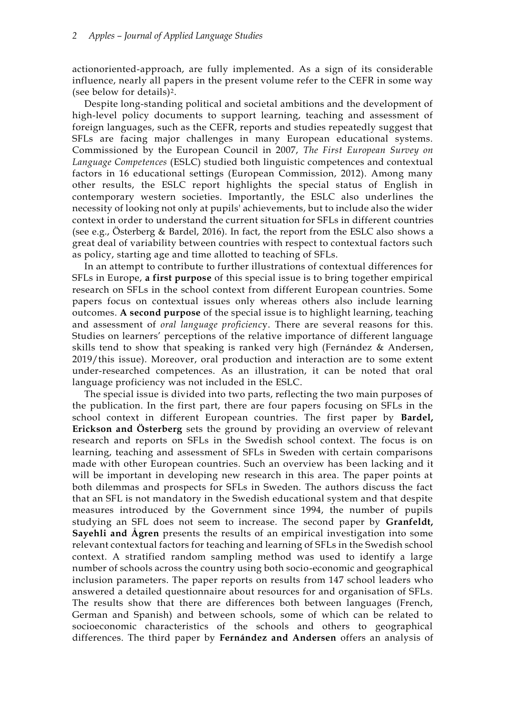actionoriented-approach, are fully implemented. As a sign of its considerable influence, nearly all papers in the present volume refer to the CEFR in some way (see below for details)2.

Despite long-standing political and societal ambitions and the development of high-level policy documents to support learning, teaching and assessment of foreign languages, such as the CEFR, reports and studies repeatedly suggest that SFLs are facing major challenges in many European educational systems. Commissioned by the European Council in 2007, *The First European Survey on Language Competences* (ESLC) studied both linguistic competences and contextual factors in 16 educational settings (European Commission, 2012). Among many other results, the ESLC report highlights the special status of English in contemporary western societies. Importantly, the ESLC also underlines the necessity of looking not only at pupils' achievements, but to include also the wider context in order to understand the current situation for SFLs in different countries (see e.g., Österberg & Bardel, 2016). In fact, the report from the ESLC also shows a great deal of variability between countries with respect to contextual factors such as policy, starting age and time allotted to teaching of SFLs.

In an attempt to contribute to further illustrations of contextual differences for SFLs in Europe, **a first purpose** of this special issue is to bring together empirical research on SFLs in the school context from different European countries. Some papers focus on contextual issues only whereas others also include learning outcomes. **A second purpose** of the special issue is to highlight learning, teaching and assessment of *oral language proficienc*y. There are several reasons for this. Studies on learners' perceptions of the relative importance of different language skills tend to show that speaking is ranked very high (Fernández & Andersen, 2019/this issue). Moreover, oral production and interaction are to some extent under-researched competences. As an illustration, it can be noted that oral language proficiency was not included in the ESLC.

The special issue is divided into two parts, reflecting the two main purposes of the publication. In the first part, there are four papers focusing on SFLs in the school context in different European countries. The first paper by **Bardel, Erickson and Österberg** sets the ground by providing an overview of relevant research and reports on SFLs in the Swedish school context. The focus is on learning, teaching and assessment of SFLs in Sweden with certain comparisons made with other European countries. Such an overview has been lacking and it will be important in developing new research in this area. The paper points at both dilemmas and prospects for SFLs in Sweden. The authors discuss the fact that an SFL is not mandatory in the Swedish educational system and that despite measures introduced by the Government since 1994, the number of pupils studying an SFL does not seem to increase. The second paper by **Granfeldt, Sayehli and Ågren** presents the results of an empirical investigation into some relevant contextual factors for teaching and learning of SFLs in the Swedish school context. A stratified random sampling method was used to identify a large number of schools across the country using both socio-economic and geographical inclusion parameters. The paper reports on results from 147 school leaders who answered a detailed questionnaire about resources for and organisation of SFLs. The results show that there are differences both between languages (French, German and Spanish) and between schools, some of which can be related to socioeconomic characteristics of the schools and others to geographical differences. The third paper by **Fernández and Andersen** offers an analysis of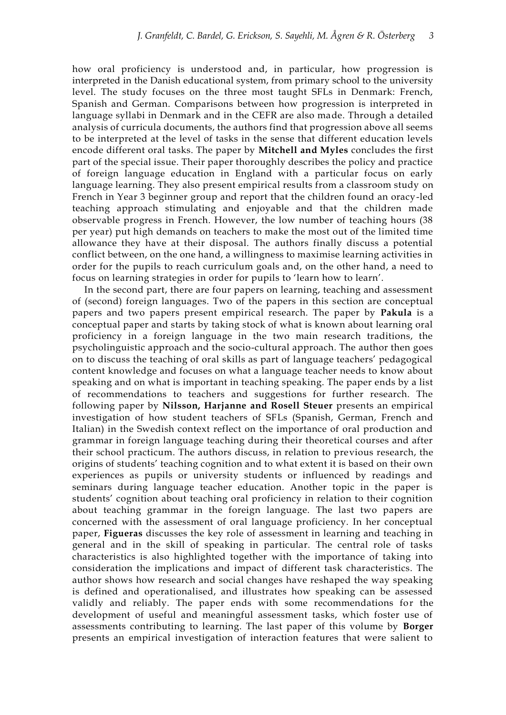how oral proficiency is understood and, in particular, how progression is interpreted in the Danish educational system, from primary school to the university level. The study focuses on the three most taught SFLs in Denmark: French, Spanish and German. Comparisons between how progression is interpreted in language syllabi in Denmark and in the CEFR are also made. Through a detailed analysis of curricula documents, the authors find that progression above all seems to be interpreted at the level of tasks in the sense that different education levels encode different oral tasks. The paper by **Mitchell and Myles** concludes the first part of the special issue. Their paper thoroughly describes the policy and practice of foreign language education in England with a particular focus on early language learning. They also present empirical results from a classroom study on French in Year 3 beginner group and report that the children found an oracy-led teaching approach stimulating and enjoyable and that the children made observable progress in French. However, the low number of teaching hours (38 per year) put high demands on teachers to make the most out of the limited time allowance they have at their disposal. The authors finally discuss a potential conflict between, on the one hand, a willingness to maximise learning activities in order for the pupils to reach curriculum goals and, on the other hand, a need to focus on learning strategies in order for pupils to 'learn how to learn'.

In the second part, there are four papers on learning, teaching and assessment of (second) foreign languages. Two of the papers in this section are conceptual papers and two papers present empirical research. The paper by **Pakula** is a conceptual paper and starts by taking stock of what is known about learning oral proficiency in a foreign language in the two main research traditions, the psycholinguistic approach and the socio-cultural approach. The author then goes on to discuss the teaching of oral skills as part of language teachers' pedagogical content knowledge and focuses on what a language teacher needs to know about speaking and on what is important in teaching speaking. The paper ends by a list of recommendations to teachers and suggestions for further research. The following paper by **Nilsson, Harjanne and Rosell Steuer** presents an empirical investigation of how student teachers of SFLs (Spanish, German, French and Italian) in the Swedish context reflect on the importance of oral production and grammar in foreign language teaching during their theoretical courses and after their school practicum. The authors discuss, in relation to previous research, the origins of students' teaching cognition and to what extent it is based on their own experiences as pupils or university students or influenced by readings and seminars during language teacher education. Another topic in the paper is students' cognition about teaching oral proficiency in relation to their cognition about teaching grammar in the foreign language. The last two papers are concerned with the assessment of oral language proficiency. In her conceptual paper, **Figueras** discusses the key role of assessment in learning and teaching in general and in the skill of speaking in particular. The central role of tasks characteristics is also highlighted together with the importance of taking into consideration the implications and impact of different task characteristics. The author shows how research and social changes have reshaped the way speaking is defined and operationalised, and illustrates how speaking can be assessed validly and reliably. The paper ends with some recommendations for the development of useful and meaningful assessment tasks, which foster use of assessments contributing to learning. The last paper of this volume by **Borger** presents an empirical investigation of interaction features that were salient to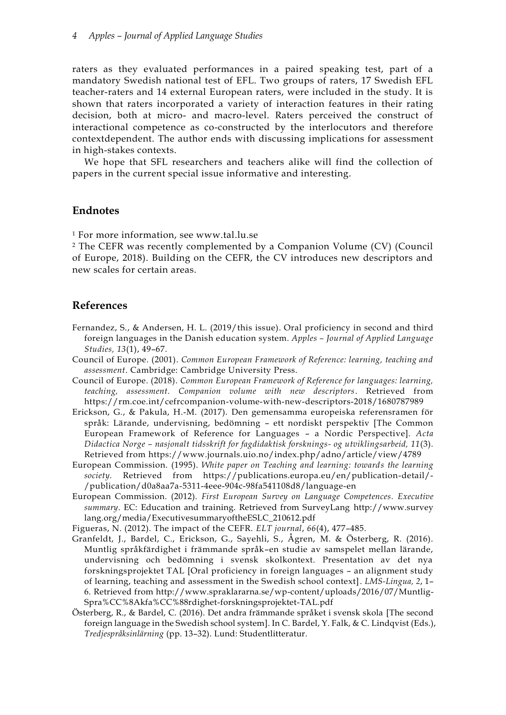raters as they evaluated performances in a paired speaking test, part of a mandatory Swedish national test of EFL. Two groups of raters, 17 Swedish EFL teacher-raters and 14 external European raters, were included in the study. It is shown that raters incorporated a variety of interaction features in their rating decision, both at micro- and macro-level. Raters perceived the construct of interactional competence as co-constructed by the interlocutors and therefore contextdependent. The author ends with discussing implications for assessment in high-stakes contexts.

We hope that SFL researchers and teachers alike will find the collection of papers in the current special issue informative and interesting.

#### **Endnotes**

<sup>1</sup> For more information, see www.tal.lu.se

<sup>2</sup> The CEFR was recently complemented by a Companion Volume (CV) (Council of Europe, 2018). Building on the CEFR, the CV introduces new descriptors and new scales for certain areas.

## **References**

- Fernandez, S., & Andersen, H. L. (2019/this issue). Oral proficiency in second and third foreign languages in the Danish education system. *Apples – Journal of Applied Language Studies, 13*(1), 49–67.
- Council of Europe. (2001). *Common European Framework of Reference: learning, teaching and assessment*. Cambridge: Cambridge University Press.
- Council of Europe. (2018). *Common European Framework of Reference for languages: learning, teaching, assessment. Companion volume with new descriptors*. Retrieved from https://rm.coe.int/cefrcompanion-volume-with-new-descriptors-2018/1680787989
- Erickson, G., & Pakula, H.-M. (2017). Den gemensamma europeiska referensramen för språk: Lärande, undervisning, bedömning – ett nordiskt perspektiv [The Common European Framework of Reference for Languages – a Nordic Perspective]. *Acta Didactica Norge – nasjonalt tidsskrift for fagdidaktisk forsknings- og utviklingsarbeid, 11*(3)*.*  Retrieved from https://www.journals.uio.no/index.php/adno/article/view/4789
- European Commission. (1995). *White paper on Teaching and learning: towards the learning society.* Retrieved from https://publications.europa.eu/en/publication-detail/- /publication/d0a8aa7a-5311-4eee-904c-98fa541108d8/language-en
- European Commission. (2012). *First European Survey on Language Competences. Executive summary*. EC: Education and training. Retrieved from SurveyLang http://www.survey lang.org/media/ExecutivesummaryoftheESLC\_210612.pdf
- Figueras, N. (2012). The impact of the CEFR. *ELT journal*, *66*(4), 477–485.
- Granfeldt, J., Bardel, C., Erickson, G., Sayehli, S., Ågren, M. & Österberg, R. (2016). Muntlig språkfärdighet i främmande språk–en studie av samspelet mellan lärande, undervisning och bedömning i svensk skolkontext. Presentation av det nya forskningsprojektet TAL [Oral proficiency in foreign languages – an alignment study of learning, teaching and assessment in the Swedish school context]. *LMS-Lingua, 2*, 1– 6. Retrieved from http://www.spraklararna.se/wp-content/uploads/2016/07/Muntlig-Spra%CC%8Akfa%CC%88rdighet-forskningsprojektet-TAL.pdf
- Österberg, R., & Bardel, C. (2016). Det andra främmande språket i svensk skola [The second foreign language in the Swedish school system]. In C. Bardel, Y. Falk, & C. Lindqvist (Eds.), *Tredjespråksinlärning* (pp. 13–32). Lund: Studentlitteratur.